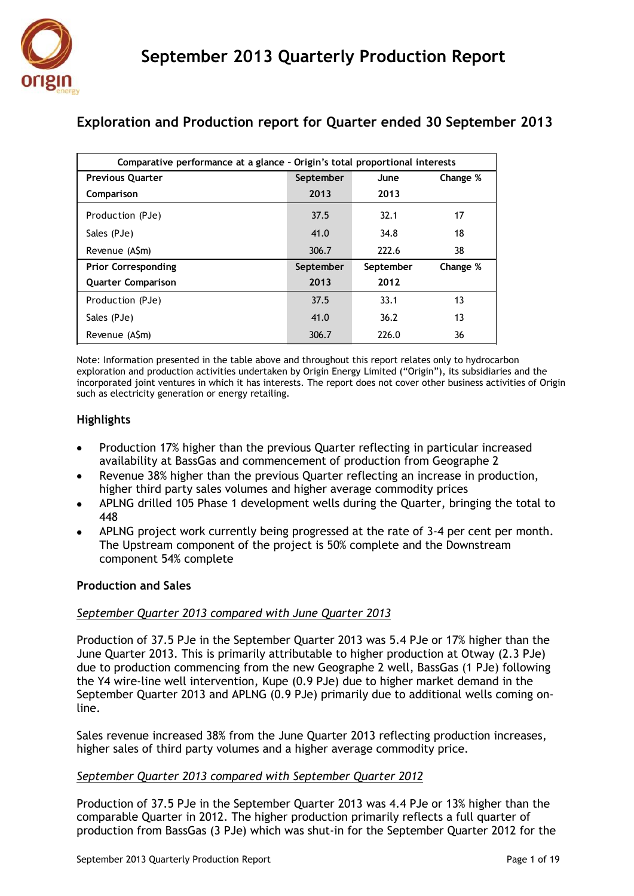

| Comparative performance at a glance - Origin's total proportional interests |           |           |          |  |  |  |  |  |
|-----------------------------------------------------------------------------|-----------|-----------|----------|--|--|--|--|--|
| <b>Previous Quarter</b>                                                     | September | June      | Change % |  |  |  |  |  |
| Comparison                                                                  | 2013      | 2013      |          |  |  |  |  |  |
| Production (PJe)                                                            | 37.5      | 32.1      | 17       |  |  |  |  |  |
| Sales (PJe)                                                                 | 41.0      | 34.8      | 18       |  |  |  |  |  |
| Revenue (A\$m)                                                              | 306.7     | 222.6     | 38       |  |  |  |  |  |
| <b>Prior Corresponding</b>                                                  | September | September | Change % |  |  |  |  |  |
| <b>Quarter Comparison</b>                                                   | 2013      | 2012      |          |  |  |  |  |  |
| Production (PJe)                                                            | 37.5      | 33.1      | 13       |  |  |  |  |  |
| Sales (PJe)                                                                 | 41.0      | 36.2      | 13       |  |  |  |  |  |
| Revenue (ASm)                                                               | 306.7     | 226.0     | 36       |  |  |  |  |  |

# **Exploration and Production report for Quarter ended 30 September 2013**

Note: Information presented in the table above and throughout this report relates only to hydrocarbon exploration and production activities undertaken by Origin Energy Limited ("Origin"), its subsidiaries and the incorporated joint ventures in which it has interests. The report does not cover other business activities of Origin such as electricity generation or energy retailing.

## **Highlights**

- Production 17% higher than the previous Quarter reflecting in particular increased availability at BassGas and commencement of production from Geographe 2
- Revenue 38% higher than the previous Quarter reflecting an increase in production, higher third party sales volumes and higher average commodity prices
- APLNG drilled 105 Phase 1 development wells during the Quarter, bringing the total to 448
- APLNG project work currently being progressed at the rate of 3-4 per cent per month. The Upstream component of the project is 50% complete and the Downstream component 54% complete

## **Production and Sales**

## *September Quarter 2013 compared with June Quarter 2013*

Production of 37.5 PJe in the September Quarter 2013 was 5.4 PJe or 17% higher than the June Quarter 2013. This is primarily attributable to higher production at Otway (2.3 PJe) due to production commencing from the new Geographe 2 well, BassGas (1 PJe) following the Y4 wire-line well intervention, Kupe (0.9 PJe) due to higher market demand in the September Quarter 2013 and APLNG (0.9 PJe) primarily due to additional wells coming online.

Sales revenue increased 38% from the June Quarter 2013 reflecting production increases, higher sales of third party volumes and a higher average commodity price.

## *September Quarter 2013 compared with September Quarter 2012*

Production of 37.5 PJe in the September Quarter 2013 was 4.4 PJe or 13% higher than the comparable Quarter in 2012. The higher production primarily reflects a full quarter of production from BassGas (3 PJe) which was shut-in for the September Quarter 2012 for the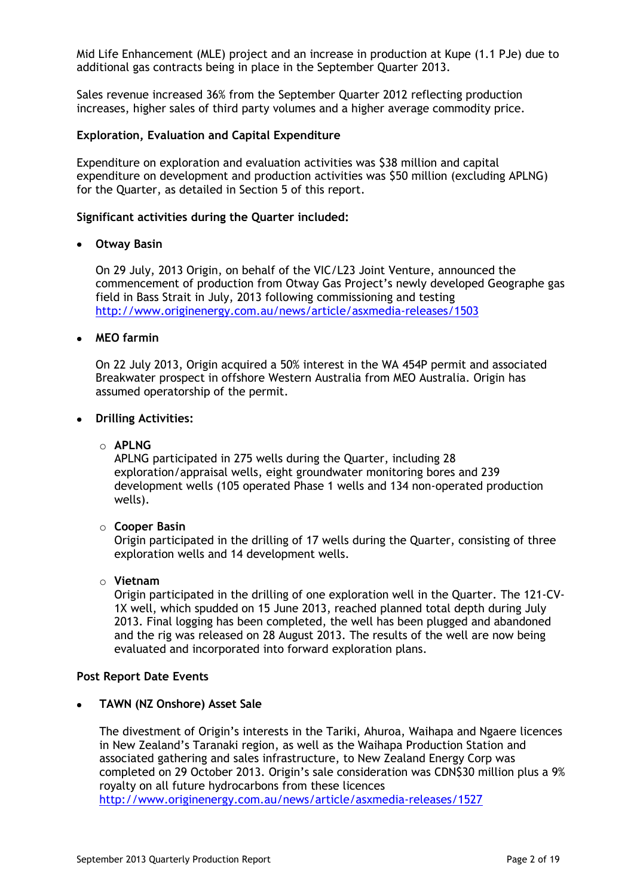Mid Life Enhancement (MLE) project and an increase in production at Kupe (1.1 PJe) due to additional gas contracts being in place in the September Quarter 2013.

Sales revenue increased 36% from the September Quarter 2012 reflecting production increases, higher sales of third party volumes and a higher average commodity price.

### **Exploration, Evaluation and Capital Expenditure**

Expenditure on exploration and evaluation activities was \$38 million and capital expenditure on development and production activities was \$50 million (excluding APLNG) for the Quarter, as detailed in Section 5 of this report.

#### **Significant activities during the Quarter included:**

### **Otway Basin**

On 29 July, 2013 Origin, on behalf of the VIC/L23 Joint Venture, announced the commencement of production from Otway Gas Project's newly developed Geographe gas field in Bass Strait in July, 2013 following commissioning and testing <http://www.originenergy.com.au/news/article/asxmedia-releases/1503>

### **MEO farmin**

On 22 July 2013, Origin acquired a 50% interest in the WA 454P permit and associated Breakwater prospect in offshore Western Australia from MEO Australia. Origin has assumed operatorship of the permit.

#### **Drilling Activities:**

### o **APLNG**

APLNG participated in 275 wells during the Quarter, including 28 exploration/appraisal wells, eight groundwater monitoring bores and 239 development wells (105 operated Phase 1 wells and 134 non-operated production wells).

#### o **Cooper Basin**

Origin participated in the drilling of 17 wells during the Quarter, consisting of three exploration wells and 14 development wells.

#### o **Vietnam**

Origin participated in the drilling of one exploration well in the Quarter. The 121-CV-1X well, which spudded on 15 June 2013, reached planned total depth during July 2013. Final logging has been completed, the well has been plugged and abandoned and the rig was released on 28 August 2013. The results of the well are now being evaluated and incorporated into forward exploration plans.

#### **Post Report Date Events**

#### **TAWN (NZ Onshore) Asset Sale**

The divestment of Origin's interests in the Tariki, Ahuroa, Waihapa and Ngaere licences in New Zealand's Taranaki region, as well as the Waihapa Production Station and associated gathering and sales infrastructure, to New Zealand Energy Corp was completed on 29 October 2013. Origin's sale consideration was CDN\$30 million plus a 9% royalty on all future hydrocarbons from these licences <http://www.originenergy.com.au/news/article/asxmedia-releases/1527>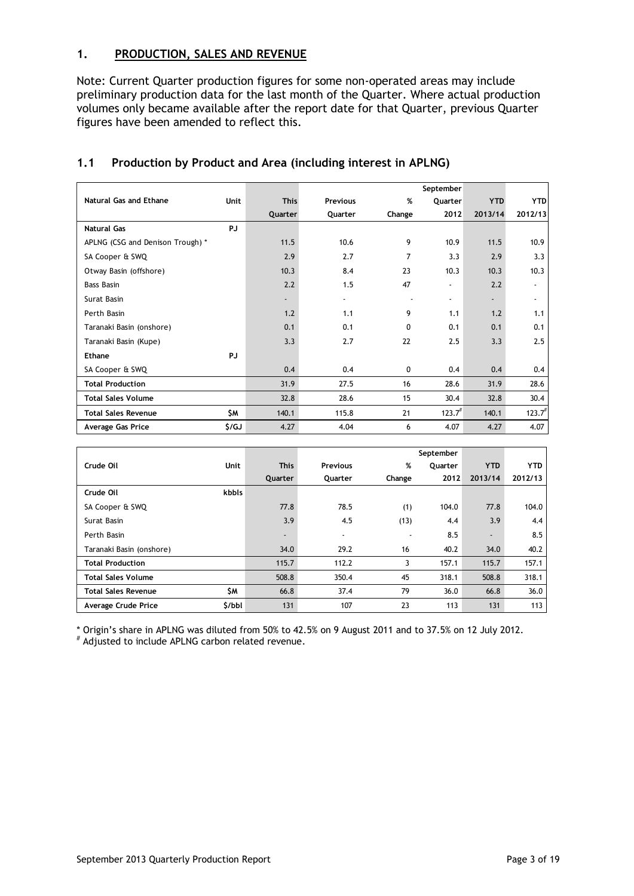## **1. PRODUCTION, SALES AND REVENUE**

Note: Current Quarter production figures for some non-operated areas may include preliminary production data for the last month of the Quarter. Where actual production volumes only became available after the report date for that Quarter, previous Quarter figures have been amended to reflect this.

|                                  |             |                          |                 |                          | September                |                |                    |
|----------------------------------|-------------|--------------------------|-----------------|--------------------------|--------------------------|----------------|--------------------|
| Natural Gas and Ethane           | <b>Unit</b> | <b>This</b>              | <b>Previous</b> | %                        | Quarter                  | <b>YTD</b>     | <b>YTD</b>         |
|                                  |             | Quarter                  | Quarter         | Change                   | 2012                     | 2013/14        | 2012/13            |
| <b>Natural Gas</b>               | <b>PJ</b>   |                          |                 |                          |                          |                |                    |
| APLNG (CSG and Denison Trough) * |             | 11.5                     | 10.6            | 9                        | 10.9                     | 11.5           | 10.9               |
| SA Cooper & SWQ                  |             | 2.9                      | 2.7             | 7                        | 3.3                      | 2.9            | 3.3                |
| Otway Basin (offshore)           |             | 10.3                     | 8.4             | 23                       | 10.3                     | 10.3           | 10.3               |
| <b>Bass Basin</b>                |             | 2.2                      | 1.5             | 47                       | $\blacksquare$           | 2.2            |                    |
| Surat Basin                      |             | $\overline{\phantom{0}}$ | $\blacksquare$  | $\overline{\phantom{a}}$ | $\overline{\phantom{a}}$ | $\blacksquare$ |                    |
| Perth Basin                      |             | 1.2                      | 1.1             | 9                        | 1.1                      | 1.2            | 1.1                |
| Taranaki Basin (onshore)         |             | 0.1                      | 0.1             | $\Omega$                 | 0.1                      | 0.1            | 0.1                |
| Taranaki Basin (Kupe)            |             | 3.3                      | 2.7             | 22                       | 2.5                      | 3.3            | 2.5                |
| <b>Ethane</b>                    | PJ          |                          |                 |                          |                          |                |                    |
| SA Cooper & SWQ                  |             | 0.4                      | 0.4             | 0                        | 0.4                      | 0.4            | 0.4                |
| <b>Total Production</b>          |             | 31.9                     | 27.5            | 16                       | 28.6                     | 31.9           | 28.6               |
| <b>Total Sales Volume</b>        |             | 32.8                     | 28.6            | 15                       | 30.4                     | 32.8           | 30.4               |
| <b>Total Sales Revenue</b>       | \$M         | 140.1                    | 115.8           | 21                       | $123.7^{#}$              | 140.1          | 123.7 <sup>#</sup> |
| Average Gas Price                | \$/GJ       | 4.27                     | 4.04            | 6                        | 4.07                     | 4.27           | 4.07               |

## **1.1 Production by Product and Area (including interest in APLNG)**

|                            |             |                          |                          |                          | September |                          |            |
|----------------------------|-------------|--------------------------|--------------------------|--------------------------|-----------|--------------------------|------------|
| Crude Oil                  | <b>Unit</b> | <b>This</b>              | <b>Previous</b>          | %                        | Quarter   | <b>YTD</b>               | <b>YTD</b> |
|                            |             | Quarter                  | Quarter                  | Change                   | 2012      | 2013/14                  | 2012/13    |
| Crude Oil                  | kbbls       |                          |                          |                          |           |                          |            |
| SA Cooper & SWQ            |             | 77.8                     | 78.5                     | (1)                      | 104.0     | 77.8                     | 104.0      |
| Surat Basin                |             | 3.9                      | 4.5                      | (13)                     | 4.4       | 3.9                      | 4.4        |
| Perth Basin                |             | $\overline{\phantom{0}}$ | $\overline{\phantom{a}}$ | $\overline{\phantom{0}}$ | 8.5       | $\overline{\phantom{a}}$ | 8.5        |
| Taranaki Basin (onshore)   |             | 34.0                     | 29.2                     | 16                       | 40.2      | 34.0                     | 40.2       |
| <b>Total Production</b>    |             | 115.7                    | 112.2                    | 3                        | 157.1     | 115.7                    | 157.1      |
| <b>Total Sales Volume</b>  |             | 508.8                    | 350.4                    | 45                       | 318.1     | 508.8                    | 318.1      |
| <b>Total Sales Revenue</b> | \$М         | 66.8                     | 37.4                     | 79                       | 36.0      | 66.8                     | 36.0       |
| Average Crude Price        | \$/bb1      | 131                      | 107                      | 23                       | 113       | 131                      | 113        |

\* Origin's share in APLNG was diluted from 50% to 42.5% on 9 August 2011 and to 37.5% on 12 July 2012.

# Adjusted to include APLNG carbon related revenue.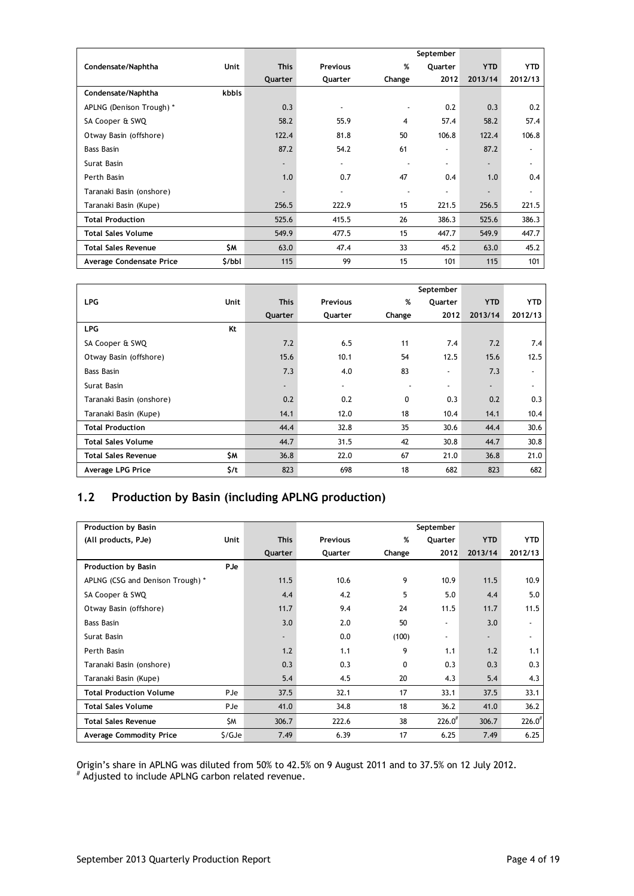|                            |             |                          |                          |        | September                |                          |                          |
|----------------------------|-------------|--------------------------|--------------------------|--------|--------------------------|--------------------------|--------------------------|
| Condensate/Naphtha         | <b>Unit</b> | <b>This</b>              | <b>Previous</b>          | %      | Quarter                  | <b>YTD</b>               | <b>YTD</b>               |
|                            |             | Quarter                  | Quarter                  | Change | 2012                     | 2013/14                  | 2012/13                  |
| Condensate/Naphtha         | kbbls       |                          |                          |        |                          |                          |                          |
| APLNG (Denison Trough) *   |             | 0.3                      | $\overline{\phantom{a}}$ |        | 0.2                      | 0.3                      | 0.2                      |
| SA Cooper & SWQ            |             | 58.2                     | 55.9                     | 4      | 57.4                     | 58.2                     | 57.4                     |
| Otway Basin (offshore)     |             | 122.4                    | 81.8                     | 50     | 106.8                    | 122.4                    | 106.8                    |
| <b>Bass Basin</b>          |             | 87.2                     | 54.2                     | 61     | $\overline{\phantom{a}}$ | 87.2                     | $\overline{\phantom{a}}$ |
| Surat Basin                |             | $\overline{\phantom{a}}$ | $\overline{\phantom{a}}$ |        | $\overline{\phantom{a}}$ | $\overline{\phantom{a}}$ | $\overline{\phantom{a}}$ |
| Perth Basin                |             | 1.0                      | 0.7                      | 47     | 0.4                      | 1.0                      | 0.4                      |
| Taranaki Basin (onshore)   |             | $\overline{\phantom{a}}$ | $\overline{\phantom{a}}$ |        | $\blacksquare$           | $\overline{\phantom{a}}$ | $\overline{\phantom{a}}$ |
| Taranaki Basin (Kupe)      |             | 256.5                    | 222.9                    | 15     | 221.5                    | 256.5                    | 221.5                    |
| <b>Total Production</b>    |             | 525.6                    | 415.5                    | 26     | 386.3                    | 525.6                    | 386.3                    |
| <b>Total Sales Volume</b>  |             | 549.9                    | 477.5                    | 15     | 447.7                    | 549.9                    | 447.7                    |
| <b>Total Sales Revenue</b> | \$M         | 63.0                     | 47.4                     | 33     | 45.2                     | 63.0                     | 45.2                     |
| Average Condensate Price   | \$/bbl      | 115                      | 99                       | 15     | 101                      | 115                      | 101                      |

|                            |             |                          |                          |        | September                |                |                          |
|----------------------------|-------------|--------------------------|--------------------------|--------|--------------------------|----------------|--------------------------|
| <b>LPG</b>                 | <b>Unit</b> | <b>This</b>              | <b>Previous</b>          | %      | Quarter                  | <b>YTD</b>     | <b>YTD</b>               |
|                            |             | Quarter                  | Quarter                  | Change | 2012                     | 2013/14        | 2012/13                  |
| <b>LPG</b>                 | Kt          |                          |                          |        |                          |                |                          |
| SA Cooper & SWQ            |             | 7.2                      | 6.5                      | 11     | 7.4                      | 7.2            | 7.4                      |
| Otway Basin (offshore)     |             | 15.6                     | 10.1                     | 54     | 12.5                     | 15.6           | 12.5                     |
| Bass Basin                 |             | 7.3                      | 4.0                      | 83     | $\overline{\phantom{a}}$ | 7.3            | $\overline{\phantom{a}}$ |
| Surat Basin                |             | $\overline{\phantom{a}}$ | $\overline{\phantom{a}}$ |        | $\overline{\phantom{a}}$ | $\blacksquare$ | $\overline{\phantom{a}}$ |
| Taranaki Basin (onshore)   |             | 0.2                      | 0.2                      | 0      | 0.3                      | 0.2            | 0.3                      |
| Taranaki Basin (Kupe)      |             | 14.1                     | 12.0                     | 18     | 10.4                     | 14.1           | 10.4                     |
| <b>Total Production</b>    |             | 44.4                     | 32.8                     | 35     | 30.6                     | 44.4           | 30.6                     |
| <b>Total Sales Volume</b>  |             | 44.7                     | 31.5                     | 42     | 30.8                     | 44.7           | 30.8                     |
| <b>Total Sales Revenue</b> | \$M         | 36.8                     | 22.0                     | 67     | 21.0                     | 36.8           | 21.0                     |
| Average LPG Price          | \$/t        | 823                      | 698                      | 18     | 682                      | 823            | 682                      |

# **1.2 Production by Basin (including APLNG production)**

| Production by Basin              |             |                          |                 |        | September                |                          |                          |
|----------------------------------|-------------|--------------------------|-----------------|--------|--------------------------|--------------------------|--------------------------|
| (All products, PJe)              | <b>Unit</b> | <b>This</b>              | <b>Previous</b> | %      | Quarter                  | <b>YTD</b>               | <b>YTD</b>               |
|                                  |             | Quarter                  | Quarter         | Change | 2012                     | 2013/14                  | 2012/13                  |
| <b>Production by Basin</b>       | PJe         |                          |                 |        |                          |                          |                          |
| APLNG (CSG and Denison Trough) * |             | 11.5                     | 10.6            | 9      | 10.9 <sup>°</sup>        | 11.5                     | 10.9                     |
| SA Cooper & SWQ                  |             | 4.4                      | 4.2             | 5      | 5.0                      | 4.4                      | 5.0                      |
| Otway Basin (offshore)           |             | 11.7                     | 9.4             | 24     | 11.5                     | 11.7                     | 11.5                     |
| <b>Bass Basin</b>                |             | 3.0                      | 2.0             | 50     | $\overline{\phantom{a}}$ | 3.0                      | $\overline{\phantom{a}}$ |
| Surat Basin                      |             | $\overline{\phantom{a}}$ | 0.0             | (100)  | $\overline{\phantom{a}}$ | $\overline{\phantom{a}}$ | $\overline{\phantom{a}}$ |
| Perth Basin                      |             | 1.2                      | 1.1             | 9      | 1.1                      | 1.2                      | 1.1                      |
| Taranaki Basin (onshore)         |             | 0.3                      | 0.3             | 0      | 0.3                      | 0.3                      | 0.3                      |
| Taranaki Basin (Kupe)            |             | 5.4                      | 4.5             | 20     | 4.3                      | 5.4                      | 4.3                      |
| <b>Total Production Volume</b>   | <b>PJe</b>  | 37.5                     | 32.1            | 17     | 33.1                     | 37.5                     | 33.1                     |
| <b>Total Sales Volume</b>        | <b>PJe</b>  | 41.0                     | 34.8            | 18     | 36.2                     | 41.0                     | 36.2                     |
| <b>Total Sales Revenue</b>       | <b>SM</b>   | 306.7                    | 222.6           | 38     | $226.0^{#}$              | 306.7                    | $226.0^{#}$              |
| Average Commodity Price          | \$/GJe      | 7.49                     | 6.39            | 17     | 6.25                     | 7.49                     | 6.25                     |

Origin's share in APLNG was diluted from 50% to 42.5% on 9 August 2011 and to 37.5% on 12 July 2012. # Adjusted to include APLNG carbon related revenue.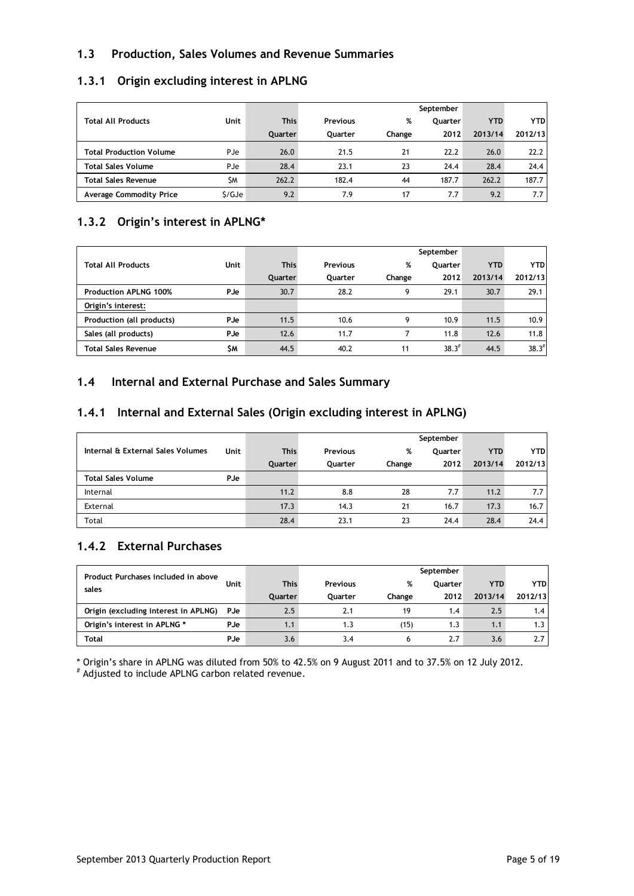## **1.3 Production, Sales Volumes and Revenue Summaries**

|                                |             |                |                 |        | September      |            |            |
|--------------------------------|-------------|----------------|-----------------|--------|----------------|------------|------------|
| <b>Total All Products</b>      | Unit        | <b>This</b>    | <b>Previous</b> | %      | <b>Ouarter</b> | <b>YTD</b> | <b>YTD</b> |
|                                |             | <b>Ouarter</b> | Ouarter         | Change | 2012           | 2013/14    | 2012/13    |
| Total Production Volume        | PJe         | 26.0           | 21.5            | 21     | 22.2           | 26.0       | 22.2       |
| <b>Total Sales Volume</b>      | <b>P</b> Je | 28.4           | 23.1            | 23     | 24.4           | 28.4       | 24.4       |
| <b>Total Sales Revenue</b>     | <b>SM</b>   | 262.2          | 182.4           | 44     | 187.7          | 262.2      | 187.7      |
| <b>Average Commodity Price</b> | \$/GJe      | 9.2            | 7.9             | 17     | 7.7            | 9.2        | 7.7        |

## **1.3.1 Origin excluding interest in APLNG**

## **1.3.2 Origin's interest in APLNG\***

|                              |            |                |                 |        | September         |            |                   |
|------------------------------|------------|----------------|-----------------|--------|-------------------|------------|-------------------|
| <b>Total All Products</b>    | Unit       | <b>This</b>    | <b>Previous</b> | %      | <b>Ouarter</b>    | <b>YTD</b> | <b>YTD</b>        |
|                              |            | <b>Ouarter</b> | <b>Ouarter</b>  | Change | 2012              | 2013/14    | 2012/13           |
| <b>Production APLNG 100%</b> | PJe        | 30.7           | 28.2            | 9      | 29.1              | 30.7       | 29.1              |
| Origin's interest:           |            |                |                 |        |                   |            |                   |
| Production (all products)    | <b>PJe</b> | 11.5           | 10.6            | 9      | 10.9 <sub>2</sub> | 11.5       | 10.9 <sup>°</sup> |
| Sales (all products)         | <b>PJe</b> | 12.6           | 11.7            |        | 11.8              | 12.6       | 11.8              |
| <b>Total Sales Revenue</b>   | \$M        | 44.5           | 40.2            | 11     | $38.3^{#}$        | 44.5       | $38.3^{#}$        |

## **1.4 Internal and External Purchase and Sales Summary**

## **1.4.1 Internal and External Sales (Origin excluding interest in APLNG)**

|                                   |      |                |                 |        | September      |            |            |
|-----------------------------------|------|----------------|-----------------|--------|----------------|------------|------------|
| Internal & External Sales Volumes | Unit | <b>This</b>    | <b>Previous</b> | %      | <b>Ouarter</b> | <b>YTD</b> | <b>YTD</b> |
|                                   |      | <b>Ouarter</b> | Quarter         | Change | 2012           | 2013/14    | 2012/13    |
| <b>Total Sales Volume</b>         | PJe  |                |                 |        |                |            |            |
| Internal                          |      | 11.2           | 8.8             | 28     | 7.7            | 11.2       | 7.7        |
| External                          |      | 17.3           | 14.3            | 21     | 16.7           | 17.3       | 16.7       |
| Total                             |      | 28.4           | 23.1            | 23     | 24.4           | 28.4       | 24.4       |

## **1.4.2 External Purchases**

| Product Purchases included in above  |             |                |          |        | September      |            |            |
|--------------------------------------|-------------|----------------|----------|--------|----------------|------------|------------|
| sales                                | Unit        | <b>This</b>    | Previous | %      | <b>Ouarter</b> | <b>YTD</b> | <b>YTD</b> |
|                                      |             | <b>Ouarter</b> | Ouarter  | Change | 2012           | 2013/14    | 2012/13    |
| Origin (excluding interest in APLNG) | <b>P</b> Je | 2.5            | 2.1      | 19     | 1.4            | 2.5        | 1.4        |
| Origin's interest in APLNG *         | PJe         | 1.1            | 1.3      | (15)   | 1.3            | 1.1        | 1.3        |
| <b>Total</b>                         | PJe         | 3.6            | 3.4      |        | 2.7            | 3.6        |            |

\* Origin's share in APLNG was diluted from 50% to 42.5% on 9 August 2011 and to 37.5% on 12 July 2012.

# Adjusted to include APLNG carbon related revenue.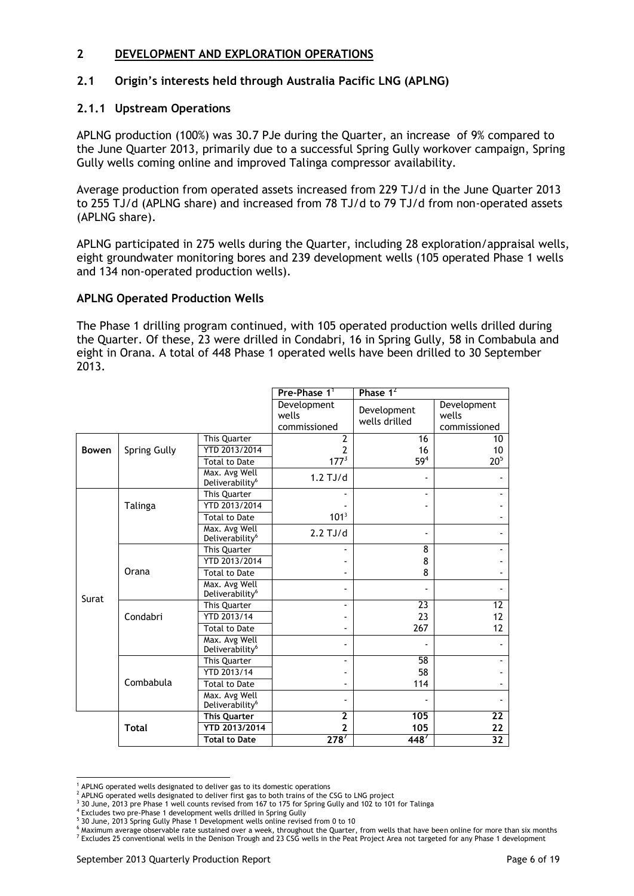## **2 DEVELOPMENT AND EXPLORATION OPERATIONS**

## **2.1 Origin's interests held through Australia Pacific LNG (APLNG)**

## **2.1.1 Upstream Operations**

APLNG production (100%) was 30.7 PJe during the Quarter, an increase of 9% compared to the June Quarter 2013, primarily due to a successful Spring Gully workover campaign, Spring Gully wells coming online and improved Talinga compressor availability.

Average production from operated assets increased from 229 TJ/d in the June Quarter 2013 to 255 TJ/d (APLNG share) and increased from 78 TJ/d to 79 TJ/d from non-operated assets (APLNG share).

APLNG participated in 275 wells during the Quarter, including 28 exploration/appraisal wells, eight groundwater monitoring bores and 239 development wells (105 operated Phase 1 wells and 134 non-operated production wells).

### **APLNG Operated Production Wells**

The Phase 1 drilling program continued, with 105 operated production wells drilled during the Quarter. Of these, 23 were drilled in Condabri, 16 in Spring Gully, 58 in Combabula and eight in Orana. A total of 448 Phase 1 operated wells have been drilled to 30 September 2013.

|              |              |                                              | Pre-Phase 1 <sup>1</sup>             | Phase $1^2$                  |                                      |
|--------------|--------------|----------------------------------------------|--------------------------------------|------------------------------|--------------------------------------|
|              |              |                                              | Development<br>wells<br>commissioned | Development<br>wells drilled | Development<br>wells<br>commissioned |
|              |              | This Quarter                                 | 2                                    | 16                           | 10                                   |
| <b>Bowen</b> | Spring Gully | YTD 2013/2014                                | 2                                    | 16                           | 10                                   |
|              |              | <b>Total to Date</b>                         | 177 <sup>3</sup>                     | 59 <sup>4</sup>              | 20 <sup>5</sup>                      |
|              |              | Max. Avg Well<br>Deliverability <sup>6</sup> | $1.2$ TJ/d                           |                              |                                      |
|              |              | This Quarter                                 |                                      | $\blacksquare$               |                                      |
|              | Talinga      | YTD 2013/2014                                |                                      |                              |                                      |
|              |              | <b>Total to Date</b>                         | 101 <sup>3</sup>                     |                              |                                      |
|              |              | Max. Avg Well<br>Deliverability <sup>6</sup> | $2.2$ TJ/d                           |                              |                                      |
|              |              | This Quarter                                 |                                      | 8                            |                                      |
|              |              | YTD 2013/2014                                |                                      | 8                            |                                      |
|              | Orana        | <b>Total to Date</b>                         |                                      | 8                            |                                      |
| Surat        |              | Max. Avg Well<br>Deliverability <sup>6</sup> |                                      |                              |                                      |
|              |              | This Quarter                                 | $\overline{\phantom{0}}$             | 23                           | 12                                   |
|              | Condabri     | YTD 2013/14                                  |                                      | 23                           | 12                                   |
|              |              | <b>Total to Date</b>                         |                                      | 267                          | 12                                   |
|              |              | Max. Avg Well<br>Deliverability <sup>6</sup> | $\blacksquare$                       |                              |                                      |
|              |              | This Quarter                                 |                                      | 58                           |                                      |
|              |              | YTD 2013/14                                  |                                      | 58                           |                                      |
|              | Combabula    | <b>Total to Date</b>                         |                                      | 114                          |                                      |
|              |              | Max. Avg Well<br>Deliverability <sup>6</sup> |                                      |                              |                                      |
|              |              | <b>This Quarter</b>                          | $\overline{2}$                       | 105                          | 22                                   |
|              | <b>Total</b> | YTD 2013/2014                                | 2                                    | 105                          | 22                                   |
|              |              | <b>Total to Date</b>                         | 278'                                 | 448'                         | 32                                   |

<sup>&</sup>lt;sup>1</sup> APLNG operated wells designated to deliver gas to its domestic operations

 $\overline{a}$ 

 $<sup>2</sup>$  APLNG operated wells designated to deliver first gas to both trains of the CSG to LNG project</sup>

<sup>&</sup>lt;sup>3</sup> 30 June, 2013 pre Phase 1 well counts revised from 167 to 175 for Spring Gully and 102 to 101 for Talinga

<sup>4</sup> Excludes two pre-Phase 1 development wells drilled in Spring Gully

<sup>&</sup>lt;sup>5</sup> 30 June, 2013 Spring Gully Phase 1 Development wells online revised from 0 to 10

<sup>6</sup> Maximum average observable rate sustained over a week, throughout the Quarter, from wells that have been online for more than six months  $^7$  Excludes 25 conventional wells in the Denison Trough and 23 CSG wells in the Peat Project Area not targeted for any Phase 1 development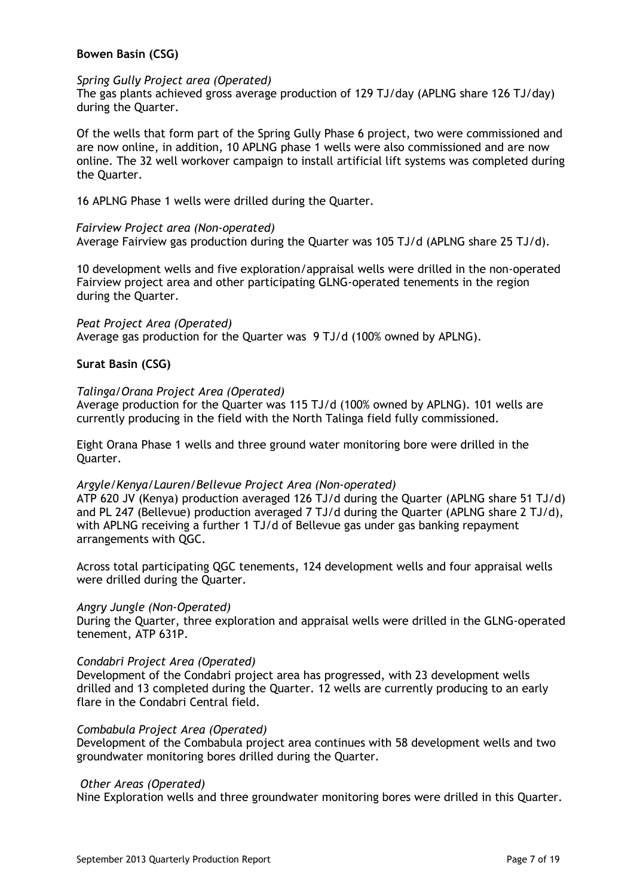## **Bowen Basin (CSG)**

#### *Spring Gully Project area (Operated)*

The gas plants achieved gross average production of 129 TJ/day (APLNG share 126 TJ/day) during the Quarter.

Of the wells that form part of the Spring Gully Phase 6 project, two were commissioned and are now online, in addition, 10 APLNG phase 1 wells were also commissioned and are now online. The 32 well workover campaign to install artificial lift systems was completed during the Quarter.

16 APLNG Phase 1 wells were drilled during the Quarter.

#### *Fairview Project area (Non-operated)*

Average Fairview gas production during the Quarter was 105 TJ/d (APLNG share 25 TJ/d).

10 development wells and five exploration/appraisal wells were drilled in the non-operated Fairview project area and other participating GLNG-operated tenements in the region during the Quarter.

*Peat Project Area (Operated)* Average gas production for the Quarter was 9 TJ/d (100% owned by APLNG).

### **Surat Basin (CSG)**

#### *Talinga/Orana Project Area (Operated)*

Average production for the Quarter was 115 TJ/d (100% owned by APLNG). 101 wells are currently producing in the field with the North Talinga field fully commissioned.

Eight Orana Phase 1 wells and three ground water monitoring bore were drilled in the Quarter.

#### *Argyle/Kenya/Lauren/Bellevue Project Area (Non-operated)*

ATP 620 JV (Kenya) production averaged 126 TJ/d during the Quarter (APLNG share 51 TJ/d) and PL 247 (Bellevue) production averaged 7 TJ/d during the Quarter (APLNG share 2 TJ/d), with APLNG receiving a further 1 TJ/d of Bellevue gas under gas banking repayment arrangements with QGC.

Across total participating QGC tenements, 124 development wells and four appraisal wells were drilled during the Quarter.

#### *Angry Jungle (Non-Operated)*

During the Quarter, three exploration and appraisal wells were drilled in the GLNG-operated tenement, ATP 631P.

#### *Condabri Project Area (Operated)*

Development of the Condabri project area has progressed, with 23 development wells drilled and 13 completed during the Quarter. 12 wells are currently producing to an early flare in the Condabri Central field.

#### *Combabula Project Area (Operated)*

Development of the Combabula project area continues with 58 development wells and two groundwater monitoring bores drilled during the Quarter.

#### *Other Areas (Operated)*

Nine Exploration wells and three groundwater monitoring bores were drilled in this Quarter.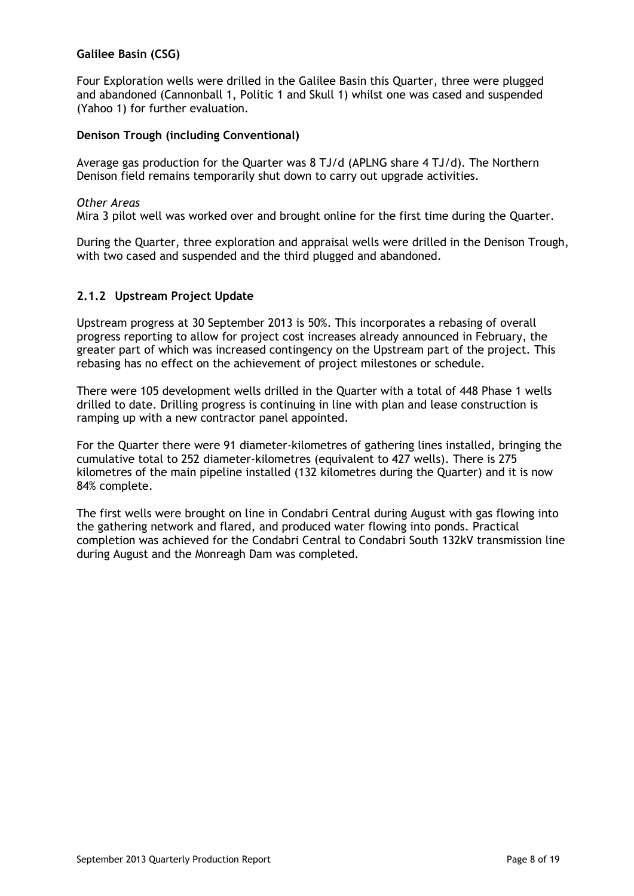## **Galilee Basin (CSG)**

Four Exploration wells were drilled in the Galilee Basin this Quarter, three were plugged and abandoned (Cannonball 1, Politic 1 and Skull 1) whilst one was cased and suspended (Yahoo 1) for further evaluation.

## **Denison Trough (including Conventional)**

Average gas production for the Quarter was 8 TJ/d (APLNG share 4 TJ/d). The Northern Denison field remains temporarily shut down to carry out upgrade activities.

#### *Other Areas*

Mira 3 pilot well was worked over and brought online for the first time during the Quarter.

During the Quarter, three exploration and appraisal wells were drilled in the Denison Trough, with two cased and suspended and the third plugged and abandoned.

### **2.1.2 Upstream Project Update**

Upstream progress at 30 September 2013 is 50%. This incorporates a rebasing of overall progress reporting to allow for project cost increases already announced in February, the greater part of which was increased contingency on the Upstream part of the project. This rebasing has no effect on the achievement of project milestones or schedule.

There were 105 development wells drilled in the Quarter with a total of 448 Phase 1 wells drilled to date. Drilling progress is continuing in line with plan and lease construction is ramping up with a new contractor panel appointed.

For the Quarter there were 91 diameter-kilometres of gathering lines installed, bringing the cumulative total to 252 diameter-kilometres (equivalent to 427 wells). There is 275 kilometres of the main pipeline installed (132 kilometres during the Quarter) and it is now 84% complete.

The first wells were brought on line in Condabri Central during August with gas flowing into the gathering network and flared, and produced water flowing into ponds. Practical completion was achieved for the Condabri Central to Condabri South 132kV transmission line during August and the Monreagh Dam was completed.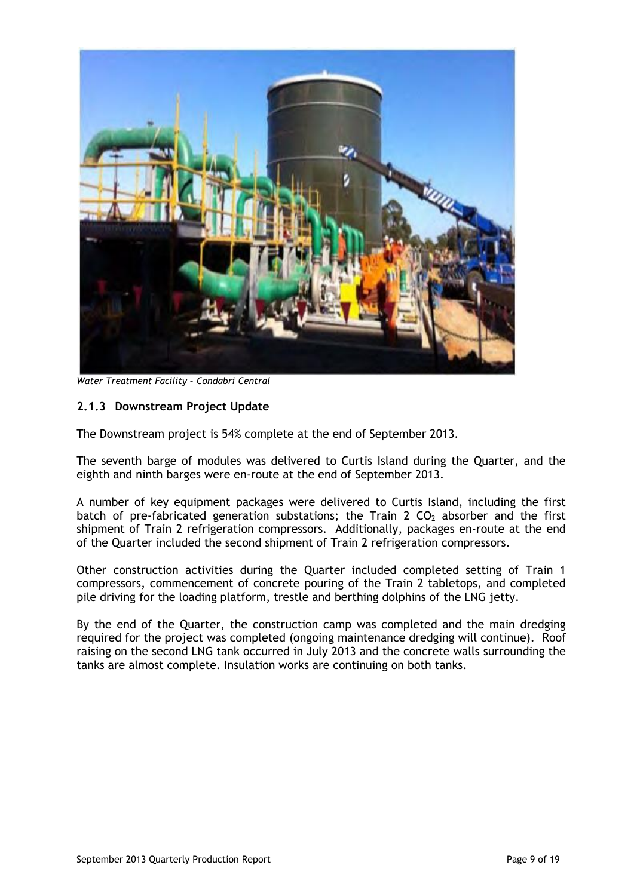

*Water Treatment Facility – Condabri Central*

## **2.1.3 Downstream Project Update**

The Downstream project is 54% complete at the end of September 2013.

The seventh barge of modules was delivered to Curtis Island during the Quarter, and the eighth and ninth barges were en-route at the end of September 2013.

A number of key equipment packages were delivered to Curtis Island, including the first batch of pre-fabricated generation substations; the Train 2  $CO<sub>2</sub>$  absorber and the first shipment of Train 2 refrigeration compressors. Additionally, packages en-route at the end of the Quarter included the second shipment of Train 2 refrigeration compressors.

Other construction activities during the Quarter included completed setting of Train 1 compressors, commencement of concrete pouring of the Train 2 tabletops, and completed pile driving for the loading platform, trestle and berthing dolphins of the LNG jetty.

By the end of the Quarter, the construction camp was completed and the main dredging required for the project was completed (ongoing maintenance dredging will continue). Roof raising on the second LNG tank occurred in July 2013 and the concrete walls surrounding the tanks are almost complete. Insulation works are continuing on both tanks.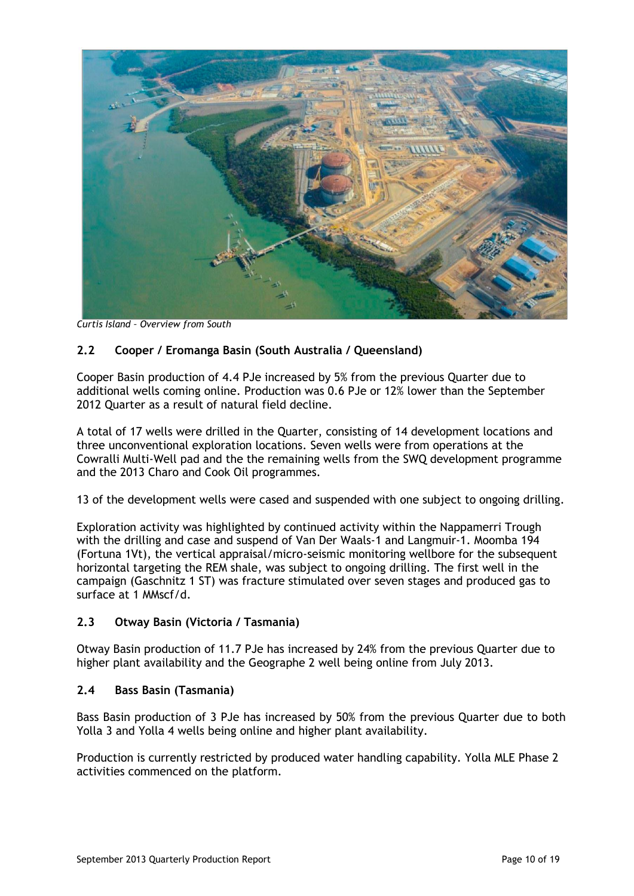

*Curtis Island – Overview from South*

## **2.2 Cooper / Eromanga Basin (South Australia / Queensland)**

Cooper Basin production of 4.4 PJe increased by 5% from the previous Quarter due to additional wells coming online. Production was 0.6 PJe or 12% lower than the September 2012 Quarter as a result of natural field decline.

A total of 17 wells were drilled in the Quarter, consisting of 14 development locations and three unconventional exploration locations. Seven wells were from operations at the Cowralli Multi-Well pad and the the remaining wells from the SWQ development programme and the 2013 Charo and Cook Oil programmes.

13 of the development wells were cased and suspended with one subject to ongoing drilling.

Exploration activity was highlighted by continued activity within the Nappamerri Trough with the drilling and case and suspend of Van Der Waals-1 and Langmuir-1. Moomba 194 (Fortuna 1Vt), the vertical appraisal/micro-seismic monitoring wellbore for the subsequent horizontal targeting the REM shale, was subject to ongoing drilling. The first well in the campaign (Gaschnitz 1 ST) was fracture stimulated over seven stages and produced gas to surface at 1 MMscf/d.

## **2.3 Otway Basin (Victoria / Tasmania)**

Otway Basin production of 11.7 PJe has increased by 24% from the previous Quarter due to higher plant availability and the Geographe 2 well being online from July 2013.

#### **2.4 Bass Basin (Tasmania)**

Bass Basin production of 3 PJe has increased by 50% from the previous Quarter due to both Yolla 3 and Yolla 4 wells being online and higher plant availability.

Production is currently restricted by produced water handling capability. Yolla MLE Phase 2 activities commenced on the platform.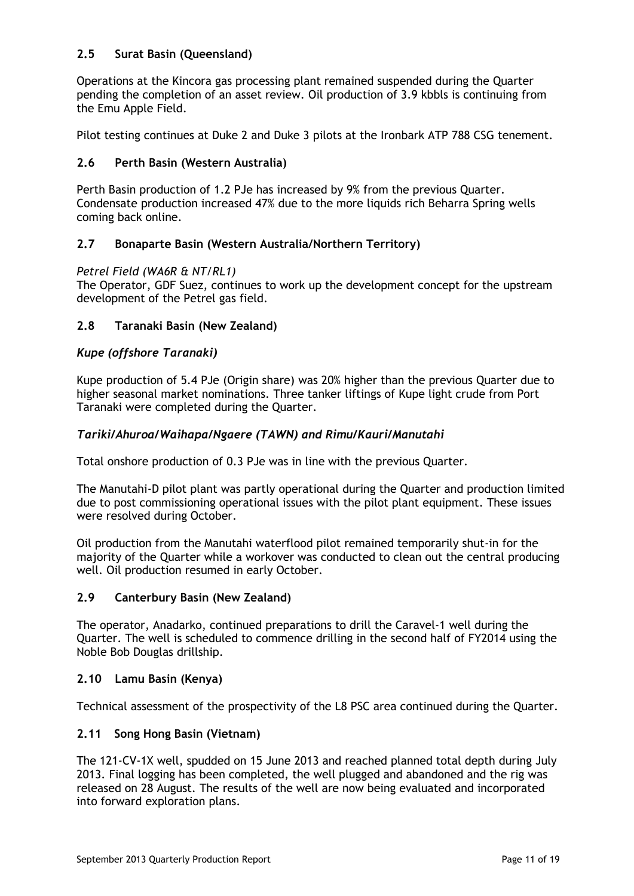## **2.5 Surat Basin (Queensland)**

Operations at the Kincora gas processing plant remained suspended during the Quarter pending the completion of an asset review. Oil production of 3.9 kbbls is continuing from the Emu Apple Field.

Pilot testing continues at Duke 2 and Duke 3 pilots at the Ironbark ATP 788 CSG tenement.

## **2.6 Perth Basin (Western Australia)**

Perth Basin production of 1.2 PJe has increased by 9% from the previous Quarter. Condensate production increased 47% due to the more liquids rich Beharra Spring wells coming back online.

## **2.7 Bonaparte Basin (Western Australia/Northern Territory)**

#### *Petrel Field (WA6R & NT/RL1)*

The Operator, GDF Suez, continues to work up the development concept for the upstream development of the Petrel gas field.

### **2.8 Taranaki Basin (New Zealand)**

### *Kupe (offshore Taranaki)*

Kupe production of 5.4 PJe (Origin share) was 20% higher than the previous Quarter due to higher seasonal market nominations. Three tanker liftings of Kupe light crude from Port Taranaki were completed during the Quarter.

### *Tariki/Ahuroa/Waihapa/Ngaere (TAWN) and Rimu/Kauri/Manutahi*

Total onshore production of 0.3 PJe was in line with the previous Quarter.

The Manutahi-D pilot plant was partly operational during the Quarter and production limited due to post commissioning operational issues with the pilot plant equipment. These issues were resolved during October.

Oil production from the Manutahi waterflood pilot remained temporarily shut-in for the majority of the Quarter while a workover was conducted to clean out the central producing well. Oil production resumed in early October.

#### **2.9 Canterbury Basin (New Zealand)**

The operator, Anadarko, continued preparations to drill the Caravel-1 well during the Quarter. The well is scheduled to commence drilling in the second half of FY2014 using the Noble Bob Douglas drillship.

#### **2.10 Lamu Basin (Kenya)**

Technical assessment of the prospectivity of the L8 PSC area continued during the Quarter.

#### **2.11 Song Hong Basin (Vietnam)**

The 121-CV-1X well, spudded on 15 June 2013 and reached planned total depth during July 2013. Final logging has been completed, the well plugged and abandoned and the rig was released on 28 August. The results of the well are now being evaluated and incorporated into forward exploration plans.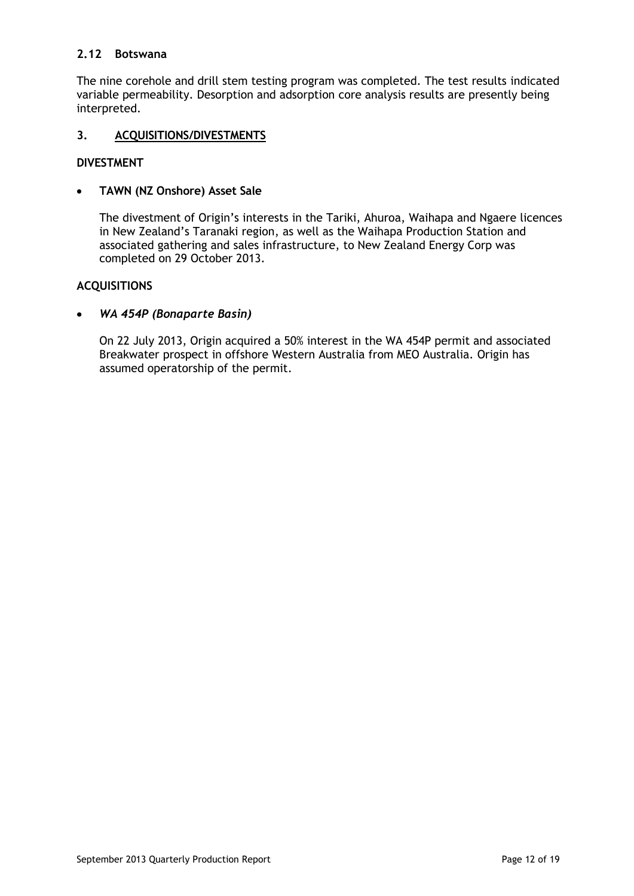## **2.12 Botswana**

The nine corehole and drill stem testing program was completed. The test results indicated variable permeability. Desorption and adsorption core analysis results are presently being interpreted.

## **3. ACQUISITIONS/DIVESTMENTS**

## **DIVESTMENT**

#### **TAWN (NZ Onshore) Asset Sale**  $\bullet$

The divestment of Origin's interests in the Tariki, Ahuroa, Waihapa and Ngaere licences in New Zealand's Taranaki region, as well as the Waihapa Production Station and associated gathering and sales infrastructure, to New Zealand Energy Corp was completed on 29 October 2013.

## **ACQUISITIONS**

#### *WA 454P (Bonaparte Basin)*  $\bullet$

On 22 July 2013, Origin acquired a 50% interest in the WA 454P permit and associated Breakwater prospect in offshore Western Australia from MEO Australia. Origin has assumed operatorship of the permit.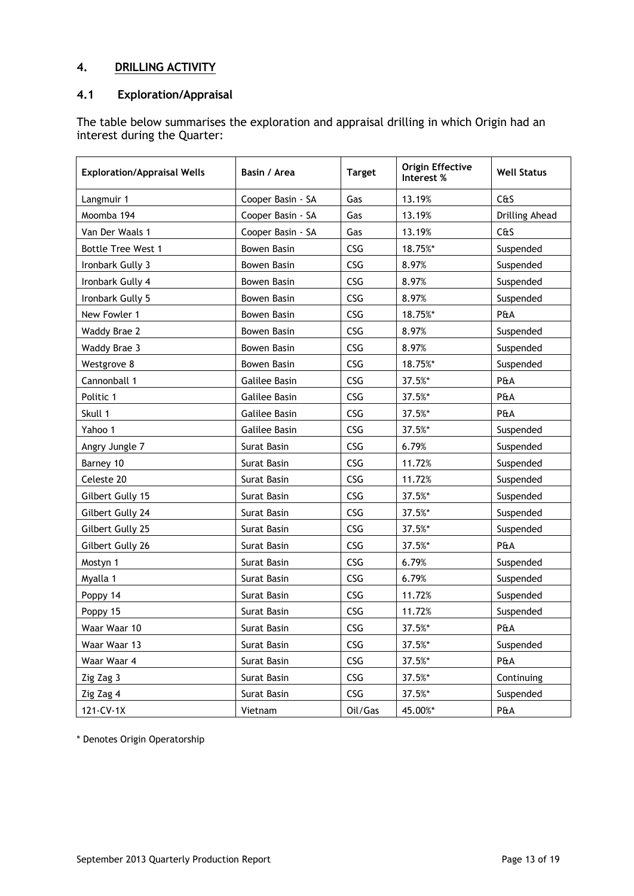## **4. DRILLING ACTIVITY**

## **4.1 Exploration/Appraisal**

The table below summarises the exploration and appraisal drilling in which Origin had an interest during the Quarter:

| <b>Exploration/Appraisal Wells</b> | Basin / Area         | <b>Target</b> | <b>Origin Effective</b><br>Interest % | <b>Well Status</b> |  |
|------------------------------------|----------------------|---------------|---------------------------------------|--------------------|--|
| Langmuir 1                         | Cooper Basin - SA    | Gas           | 13.19%                                | C <sub>0</sub>     |  |
| Moomba 194                         | Cooper Basin - SA    | Gas           | 13.19%                                | Drilling Ahead     |  |
| Van Der Waals 1                    | Cooper Basin - SA    | Gas           | 13.19%                                | C <sub>0</sub>     |  |
| <b>Bottle Tree West 1</b>          | <b>Bowen Basin</b>   | CSG           | 18.75%*                               | Suspended          |  |
| Ironbark Gully 3                   | <b>Bowen Basin</b>   | CSG           | 8.97%                                 | Suspended          |  |
| Ironbark Gully 4                   | <b>Bowen Basin</b>   | CSG           | 8.97%                                 | Suspended          |  |
| Ironbark Gully 5                   | <b>Bowen Basin</b>   | CSG           | 8.97%                                 | Suspended          |  |
| New Fowler 1                       | Bowen Basin          | CSG           | 18.75%*                               | P&A                |  |
| Waddy Brae 2                       | <b>Bowen Basin</b>   | CSG           | 8.97%                                 | Suspended          |  |
| Waddy Brae 3                       | Bowen Basin          | CSG           | 8.97%                                 | Suspended          |  |
| Westgrove 8                        | <b>Bowen Basin</b>   | CSG           | 18.75%*                               | Suspended          |  |
| Cannonball 1                       | <b>Galilee Basin</b> | CSG           | 37.5%*                                | P&A                |  |
| Politic 1                          | Galilee Basin        | CSG           | 37.5%*                                | P&A                |  |
| Skull 1                            | <b>Galilee Basin</b> | CSG           | 37.5%*                                | P&A                |  |
| Yahoo 1                            | <b>Galilee Basin</b> | CSG           | 37.5%*                                | Suspended          |  |
| Angry Jungle 7                     | Surat Basin          | CSG           | 6.79%                                 | Suspended          |  |
| Barney 10                          | Surat Basin          | CSG           | 11.72%                                | Suspended          |  |
| Celeste 20                         | Surat Basin          | CSG           | 11.72%                                | Suspended          |  |
| Gilbert Gully 15                   | Surat Basin          | CSG           | 37.5%*                                | Suspended          |  |
| Gilbert Gully 24                   | Surat Basin          | CSG           | 37.5%*                                | Suspended          |  |
| Gilbert Gully 25                   | Surat Basin          | CSG           | 37.5%*                                | Suspended          |  |
| Gilbert Gully 26                   | Surat Basin          | CSG           | 37.5%*                                | P&A                |  |
| Mostyn 1                           | Surat Basin          | CSG           | 6.79%                                 | Suspended          |  |
| Myalla 1                           | Surat Basin          | CSG           | 6.79%                                 | Suspended          |  |
| Poppy 14                           | Surat Basin          | CSG           | 11.72%                                | Suspended          |  |
| Poppy 15                           | Surat Basin          | CSG           | 11.72%                                | Suspended          |  |
| Waar Waar 10                       | Surat Basin          | CSG           | 37.5%*                                | P&A                |  |
| Waar Waar 13                       | Surat Basin          | CSG           | 37.5%*                                | Suspended          |  |
| Waar Waar 4                        | Surat Basin          | CSG           | 37.5%*                                | P&A                |  |
| Zig Zag 3                          | Surat Basin          | CSG           | 37.5%*                                | Continuing         |  |
| Zig Zag 4                          | Surat Basin          | CSG           | 37.5%*                                | Suspended          |  |
| 121-CV-1X                          | Vietnam              | Oil/Gas       | 45.00%*                               | P&A                |  |

\* Denotes Origin Operatorship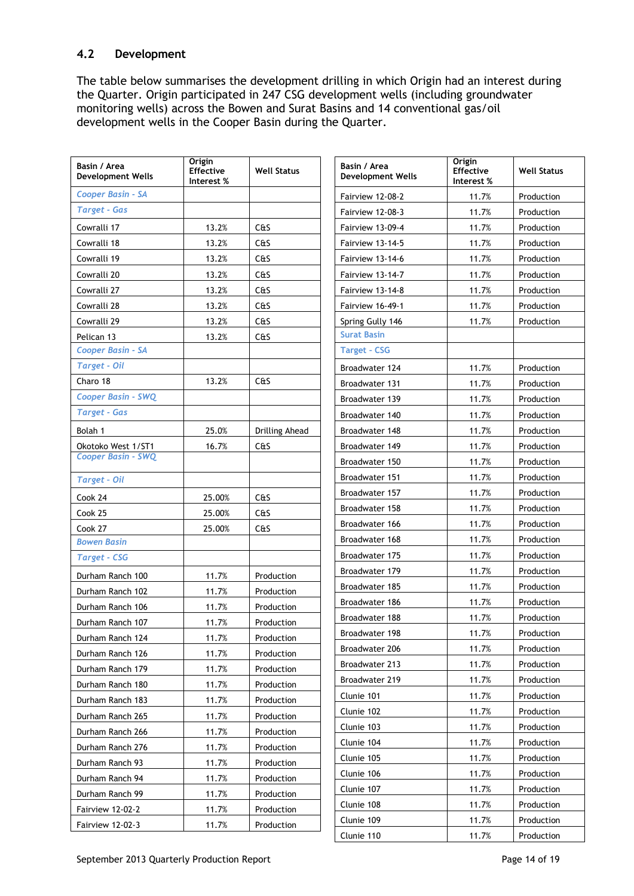## **4.2 Development**

The table below summarises the development drilling in which Origin had an interest during the Quarter. Origin participated in 247 CSG development wells (including groundwater monitoring wells) across the Bowen and Surat Basins and 14 conventional gas/oil development wells in the Cooper Basin during the Quarter.

| Basin / Area<br><b>Development Wells</b> | <b>Origin</b><br><b>Effective</b><br>Interest % | <b>Well Status</b> | Basin / Area<br><b>Development Wells</b> | Origin<br>Effective<br>Interest % | <b>Well Status</b> |
|------------------------------------------|-------------------------------------------------|--------------------|------------------------------------------|-----------------------------------|--------------------|
| <b>Cooper Basin - SA</b>                 |                                                 |                    | Fairview 12-08-2                         | 11.7%                             | Production         |
| <b>Target - Gas</b>                      |                                                 |                    | Fairview 12-08-3                         | 11.7%                             | Production         |
| Cowralli 17                              | 13.2%                                           | C&S                | Fairview 13-09-4                         | 11.7%                             | Production         |
| Cowralli 18                              | 13.2%                                           | C&S                | Fairview 13-14-5                         | 11.7%                             | Production         |
| Cowralli 19                              | 13.2%                                           | C&S                | Fairview 13-14-6                         | 11.7%                             | Production         |
| Cowralli 20                              | 13.2%                                           | C <sub>0</sub>     | Fairview 13-14-7                         | 11.7%                             | Production         |
| Cowralli 27                              | 13.2%                                           | C <sub>0</sub>     | Fairview 13-14-8                         | 11.7%                             | Production         |
| Cowralli 28                              | 13.2%                                           | C <sub>0</sub>     | Fairview 16-49-1                         | 11.7%                             | Production         |
| Cowralli 29                              | 13.2%                                           | C <sub>0</sub>     | Spring Gully 146                         | 11.7%                             | Production         |
| Pelican 13                               | 13.2%                                           | C&S                | <b>Surat Basin</b>                       |                                   |                    |
| <b>Cooper Basin - SA</b>                 |                                                 |                    | <b>Target - CSG</b>                      |                                   |                    |
| <b>Target - Oil</b>                      |                                                 |                    | Broadwater 124                           | 11.7%                             | Production         |
| Charo 18                                 | 13.2%                                           | C <sub>0</sub>     | Broadwater 131                           | 11.7%                             | Production         |
| Cooper Basin - SWQ                       |                                                 |                    | Broadwater 139                           | 11.7%                             | Production         |
| <b>Target - Gas</b>                      |                                                 |                    | Broadwater 140                           | 11.7%                             | Production         |
| Bolah 1                                  | 25.0%                                           | Drilling Ahead     | Broadwater 148                           | 11.7%                             | Production         |
| Okotoko West 1/ST1                       | 16.7%                                           | C&S                | Broadwater 149                           | 11.7%                             | Production         |
| <b>Cooper Basin - SWQ</b>                |                                                 |                    | Broadwater 150                           | 11.7%                             | Production         |
| <b>Target - Oil</b>                      |                                                 |                    | Broadwater 151                           | 11.7%                             | Production         |
| Cook 24                                  | 25.00%                                          | C <sub>0</sub>     | Broadwater 157                           | 11.7%                             | Production         |
| Cook 25                                  | 25.00%                                          | C&S                | Broadwater 158                           | 11.7%                             | Production         |
| Cook 27                                  | 25.00%                                          | C <sub>0</sub>     | Broadwater 166                           | 11.7%                             | Production         |
| <b>Bowen Basin</b>                       |                                                 |                    | Broadwater 168                           | 11.7%                             | Production         |
| <b>Target - CSG</b>                      |                                                 |                    | Broadwater 175                           | 11.7%                             | Production         |
| Durham Ranch 100                         | 11.7%                                           | Production         | Broadwater 179                           | 11.7%                             | Production         |
| Durham Ranch 102                         | 11.7%                                           | Production         | Broadwater 185                           | 11.7%                             | Production         |
| Durham Ranch 106                         | 11.7%                                           | Production         | Broadwater 186                           | 11.7%                             | Production         |
| Durham Ranch 107                         | 11.7%                                           | Production         | Broadwater 188                           | 11.7%                             | Production         |
| Durham Ranch 124                         | 11.7%                                           | Production         | Broadwater 198                           | 11.7%                             | Production         |
| Durham Ranch 126                         | 11.7%                                           | Production         | Broadwater 206                           | 11.7%                             | Production         |
| Durham Ranch 179                         | 11.7%                                           | Production         | Broadwater 213                           | 11.7%                             | Production         |
| Durham Ranch 180                         | 11.7%                                           | Production         | Broadwater 219                           | 11.7%                             | Production         |
| Durham Ranch 183                         | 11.7%                                           | Production         | Clunie 101                               | 11.7%                             | Production         |
| Durham Ranch 265                         | 11.7%                                           | Production         | Clunie 102                               | 11.7%                             | Production         |
| Durham Ranch 266                         | 11.7%                                           | Production         | Clunie 103                               | 11.7%                             | Production         |
| Durham Ranch 276                         | 11.7%                                           | Production         | Clunie 104                               | 11.7%                             | Production         |
| Durham Ranch 93                          | 11.7%                                           | Production         | Clunie 105                               | 11.7%                             | Production         |
| Durham Ranch 94                          | 11.7%                                           | Production         | Clunie 106                               | 11.7%                             | Production         |
| Durham Ranch 99                          | 11.7%                                           | Production         | Clunie 107                               | 11.7%                             | Production         |
| <b>Fairview 12-02-2</b>                  | 11.7%                                           | Production         | Clunie 108                               | 11.7%                             | Production         |
| <b>Fairview 12-02-3</b>                  | 11.7%                                           | Production         | Clunie 109                               | 11.7%                             | Production         |
|                                          |                                                 |                    | Clunie 110                               | 11.7%                             | Production         |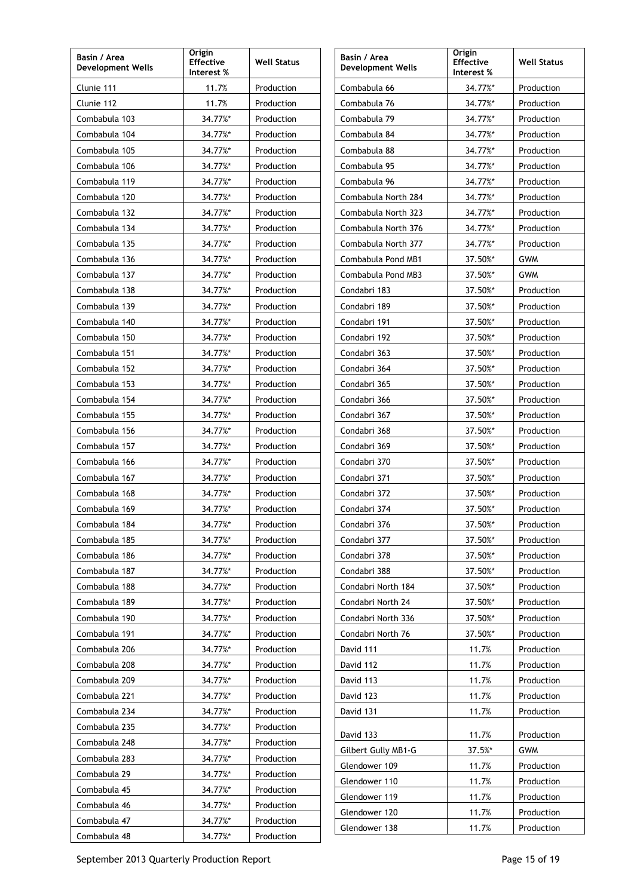| Basin / Area<br><b>Development Wells</b> | Origin<br><b>Effective</b><br>Interest % | <b>Well Status</b> | Basin / Area<br><b>Development Wells</b> | Origin<br><b>Effective</b><br>Interest % | <b>Well Status</b> |
|------------------------------------------|------------------------------------------|--------------------|------------------------------------------|------------------------------------------|--------------------|
| Clunie 111                               | 11.7%                                    | Production         | Combabula 66                             | 34.77%*                                  | Production         |
| Clunie 112                               | 11.7%                                    | Production         | Combabula 76                             | 34.77%*                                  | Production         |
| Combabula 103                            | 34.77%*                                  | Production         | Combabula 79                             | 34.77%*                                  | Production         |
| Combabula 104                            | 34.77%*                                  | Production         | Combabula 84                             | 34.77%*                                  | Production         |
| Combabula 105                            | 34.77%*                                  | Production         | Combabula 88                             | 34.77%*                                  | Production         |
| Combabula 106                            | 34.77%*                                  | Production         | Combabula 95                             | 34.77%*                                  | Production         |
| Combabula 119                            | 34.77%*                                  | Production         | Combabula 96                             | 34.77%*                                  | Production         |
| Combabula 120                            | 34.77%*                                  | Production         | Combabula North 284                      | 34.77%*                                  | Production         |
| Combabula 132                            | 34.77%*                                  | Production         | Combabula North 323                      | 34.77%*                                  | Production         |
| Combabula 134                            | 34.77%*                                  | Production         | Combabula North 376                      | 34.77%*                                  | Production         |
| Combabula 135                            | 34.77%*                                  | Production         | Combabula North 377                      | 34.77%*                                  | Production         |
| Combabula 136                            | 34.77%*                                  | Production         | Combabula Pond MB1                       | 37.50%*                                  | <b>GWM</b>         |
| Combabula 137                            | 34.77%*                                  | Production         | Combabula Pond MB3                       | 37.50%*                                  | <b>GWM</b>         |
| Combabula 138                            | 34.77%*                                  | Production         | Condabri 183                             | 37.50%*                                  | Production         |
| Combabula 139                            | 34.77%*                                  | Production         | Condabri 189                             | 37.50%*                                  | Production         |
| Combabula 140                            | 34.77%*                                  | Production         | Condabri 191                             | 37.50%*                                  | Production         |
| Combabula 150                            | 34.77%*                                  | Production         | Condabri 192                             | 37.50%*                                  | Production         |
| Combabula 151                            | 34.77%*                                  | Production         | Condabri 363                             | 37.50%*                                  | Production         |
| Combabula 152                            | 34.77%*                                  | Production         | Condabri 364                             | 37.50%*                                  | Production         |
| Combabula 153                            | 34.77%*                                  | Production         | Condabri 365                             | 37.50%*                                  | Production         |
| Combabula 154                            | 34.77%*                                  | Production         | Condabri 366                             | 37.50%*                                  | Production         |
| Combabula 155                            | 34.77%*                                  | Production         | Condabri 367                             | 37.50%*                                  | Production         |
| Combabula 156                            | 34.77%*                                  | Production         | Condabri 368                             | 37.50%*                                  | Production         |
| Combabula 157                            | 34.77%*                                  | Production         | Condabri 369                             | 37.50%*                                  | Production         |
| Combabula 166                            | 34.77%*                                  | Production         | Condabri 370                             | 37.50%*                                  | Production         |
| Combabula 167                            | 34.77%*                                  | Production         | Condabri 371                             | 37.50%*                                  | Production         |
| Combabula 168                            | 34.77%*                                  | Production         | Condabri 372                             | 37.50%*                                  | Production         |
| Combabula 169                            | 34.77%*                                  | Production         | Condabri 374                             | 37.50%*                                  | Production         |
| Combabula 184                            | 34.77%*                                  | Production         | Condabri 376                             | 37.50%*                                  | Production         |
| Combabula 185                            | 34.77%*                                  | Production         | Condabri 377                             | 37.50%*                                  | Production         |
| Combabula 186                            | 34.77%*                                  | Production         | Condabri 378                             | 37.50%*                                  | Production         |
| Combabula 187                            | 34.77%*                                  | Production         | Condabri 388                             | 37.50%*                                  | Production         |
| Combabula 188                            | 34.77%*                                  | Production         | Condabri North 184                       | 37.50%*                                  | Production         |
| Combabula 189                            | 34.77%*                                  | Production         | Condabri North 24                        | 37.50%*                                  | Production         |
| Combabula 190                            | 34.77%*                                  | Production         | Condabri North 336                       | 37.50%*                                  | Production         |
| Combabula 191                            | 34.77%*                                  | Production         | Condabri North 76                        | 37.50%*                                  | Production         |
| Combabula 206                            | 34.77%*                                  | Production         | David 111                                | 11.7%                                    | Production         |
| Combabula 208                            | 34.77%*                                  | Production         | David 112                                | 11.7%                                    | Production         |
| Combabula 209                            | 34.77%*                                  | Production         | David 113                                | 11.7%                                    | Production         |
| Combabula 221                            | 34.77%*                                  | Production         | David 123                                | 11.7%                                    | Production         |
| Combabula 234                            | 34.77%*                                  | Production         | David 131                                | 11.7%                                    | Production         |
| Combabula 235                            | 34.77%*                                  | Production         | David 133                                | 11.7%                                    | Production         |
| Combabula 248                            | 34.77%*                                  | Production         | Gilbert Gully MB1-G                      | 37.5%*                                   | <b>GWM</b>         |
| Combabula 283                            | 34.77%*                                  | Production         | Glendower 109                            | 11.7%                                    | Production         |
| Combabula 29                             | 34.77%*                                  | Production         | Glendower 110                            | 11.7%                                    | Production         |
| Combabula 45                             | 34.77%*                                  | Production         | Glendower 119                            | 11.7%                                    | Production         |
| Combabula 46                             | 34.77%*                                  | Production         | Glendower 120                            | 11.7%                                    | Production         |
| Combabula 47                             | 34.77%*                                  | Production         | Glendower 138                            | 11.7%                                    | Production         |
| Combabula 48                             | 34.77%*                                  | Production         |                                          |                                          |                    |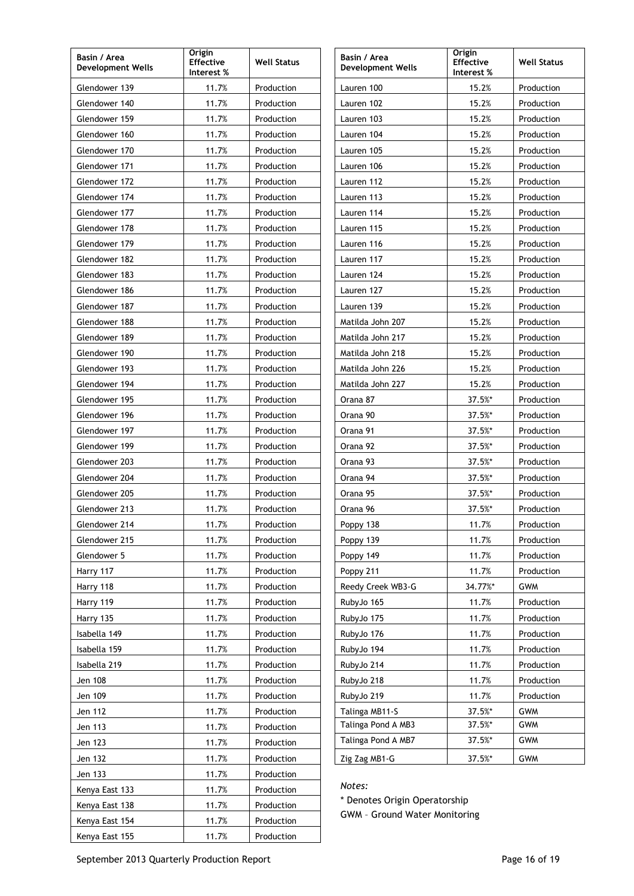| Basin / Area<br><b>Development Wells</b> | Origin<br><b>Effective</b><br>Interest % | <b>Well Status</b> | Origin<br>Basin / Area<br><b>Effective</b><br><b>Development Wells</b><br>Interest % |         | <b>Well Status</b> |  |  |
|------------------------------------------|------------------------------------------|--------------------|--------------------------------------------------------------------------------------|---------|--------------------|--|--|
| Glendower 139                            | 11.7%                                    | Production         | Lauren 100                                                                           | 15.2%   | Production         |  |  |
| Glendower 140                            | 11.7%                                    | Production         | Lauren 102                                                                           | 15.2%   | Production         |  |  |
| Glendower 159                            | 11.7%                                    | Production         | Lauren 103                                                                           | 15.2%   | Production         |  |  |
| Glendower 160                            | 11.7%                                    | Production         | Lauren 104                                                                           | 15.2%   | Production         |  |  |
| Glendower 170                            | 11.7%                                    | Production         | Lauren 105                                                                           | 15.2%   | Production         |  |  |
| Glendower 171                            | 11.7%                                    | Production         | Lauren 106                                                                           | 15.2%   | Production         |  |  |
| Glendower 172                            | 11.7%                                    | Production         | Lauren 112                                                                           | 15.2%   | Production         |  |  |
| Glendower 174                            | 11.7%                                    | Production         | Lauren 113                                                                           | 15.2%   | Production         |  |  |
| Glendower 177                            | 11.7%                                    | Production         | Lauren 114                                                                           | 15.2%   | Production         |  |  |
| Glendower 178                            | 11.7%                                    | Production         | Lauren 115                                                                           | 15.2%   | Production         |  |  |
| Glendower 179                            | 11.7%                                    | Production         | Lauren 116                                                                           | 15.2%   | Production         |  |  |
| Glendower 182                            | 11.7%                                    | Production         | Lauren 117                                                                           | 15.2%   | Production         |  |  |
| Glendower 183                            | 11.7%                                    | Production         | Lauren 124                                                                           | 15.2%   | Production         |  |  |
| Glendower 186                            | 11.7%                                    | Production         | Lauren 127                                                                           | 15.2%   | Production         |  |  |
| Glendower 187                            | 11.7%                                    | Production         | Lauren 139                                                                           | 15.2%   | Production         |  |  |
| Glendower 188                            | 11.7%                                    | Production         | Matilda John 207                                                                     | 15.2%   | Production         |  |  |
| Glendower 189                            | 11.7%                                    | Production         | Matilda John 217                                                                     | 15.2%   | Production         |  |  |
| Glendower 190                            | 11.7%                                    | Production         | Matilda John 218                                                                     | 15.2%   | Production         |  |  |
| Glendower 193                            | 11.7%                                    | Production         | Matilda John 226                                                                     | 15.2%   | Production         |  |  |
| Glendower 194                            | 11.7%                                    | Production         | Matilda John 227                                                                     | 15.2%   | Production         |  |  |
| Glendower 195                            | 11.7%                                    | Production         | Orana 87                                                                             | 37.5%*  | Production         |  |  |
| Glendower 196                            | 11.7%                                    | Production         | Orana 90                                                                             | 37.5%*  | Production         |  |  |
| Glendower 197                            | 11.7%                                    | Production         | Orana 91                                                                             | 37.5%*  | Production         |  |  |
| Glendower 199                            | 11.7%                                    | Production         | Orana 92                                                                             | 37.5%*  | Production         |  |  |
| Glendower 203                            | 11.7%                                    | Production         | Orana 93                                                                             | 37.5%*  | Production         |  |  |
| Glendower 204                            | 11.7%                                    | Production         | Orana 94                                                                             | 37.5%*  | Production         |  |  |
| Glendower 205                            | 11.7%                                    | Production         | Orana 95                                                                             | 37.5%*  | Production         |  |  |
| Glendower 213                            | 11.7%                                    | Production         | Orana 96                                                                             | 37.5%*  | Production         |  |  |
| Glendower 214                            | 11.7%                                    | Production         | Poppy 138                                                                            | 11.7%   | Production         |  |  |
| Glendower 215                            | 11.7%                                    | Production         | Poppy 139                                                                            | 11.7%   | Production         |  |  |
| Glendower 5                              | 11.7%                                    | Production         | Poppy 149                                                                            | 11.7%   | Production         |  |  |
| Harry 117                                | 11.7%                                    | Production         | Poppy 211                                                                            | 11.7%   | Production         |  |  |
| Harry 118                                | 11.7%                                    | Production         | Reedy Creek WB3-G                                                                    | 34.77%* | <b>GWM</b>         |  |  |
| Harry 119                                | 11.7%                                    | Production         | RubyJo 165                                                                           | 11.7%   | Production         |  |  |
| Harry 135                                | 11.7%                                    | Production         | RubyJo 175                                                                           | 11.7%   | Production         |  |  |
| Isabella 149                             | 11.7%                                    | Production         | RubyJo 176                                                                           | 11.7%   | Production         |  |  |
| Isabella 159                             | 11.7%                                    | Production         | RubyJo 194                                                                           | 11.7%   | Production         |  |  |
| Isabella 219                             | 11.7%                                    | Production         | RubyJo 214                                                                           | 11.7%   | Production         |  |  |
| Jen 108                                  | 11.7%                                    | Production         | RubyJo 218                                                                           | 11.7%   | Production         |  |  |
| Jen 109                                  | 11.7%                                    | Production         | RubyJo 219                                                                           | 11.7%   | Production         |  |  |
| Jen 112                                  | 11.7%                                    | Production         | Talinga MB11-S                                                                       | 37.5%*  | GWM                |  |  |
| Jen 113                                  | 11.7%                                    | Production         | Talinga Pond A MB3                                                                   | 37.5%*  | GWM                |  |  |
| Jen 123                                  | 11.7%                                    | Production         | Talinga Pond A MB7                                                                   | 37.5%*  | <b>GWM</b>         |  |  |
| Jen 132                                  | 11.7%                                    | Production         | Zig Zag MB1-G                                                                        | 37.5%*  | GWM                |  |  |
| Jen 133                                  | 11.7%                                    | Production         |                                                                                      |         |                    |  |  |
| Kenya East 133                           | 11.7%                                    | Production         | Notes:                                                                               |         |                    |  |  |
| Kenya East 138                           | 11.7%                                    | Production         | * Denotes Origin Operatorship<br><b>GWM - Ground Water Monitoring</b>                |         |                    |  |  |
| Kenya East 154                           | 11.7%                                    | Production         |                                                                                      |         |                    |  |  |
| Kenya East 155                           | 11.7%                                    | Production         |                                                                                      |         |                    |  |  |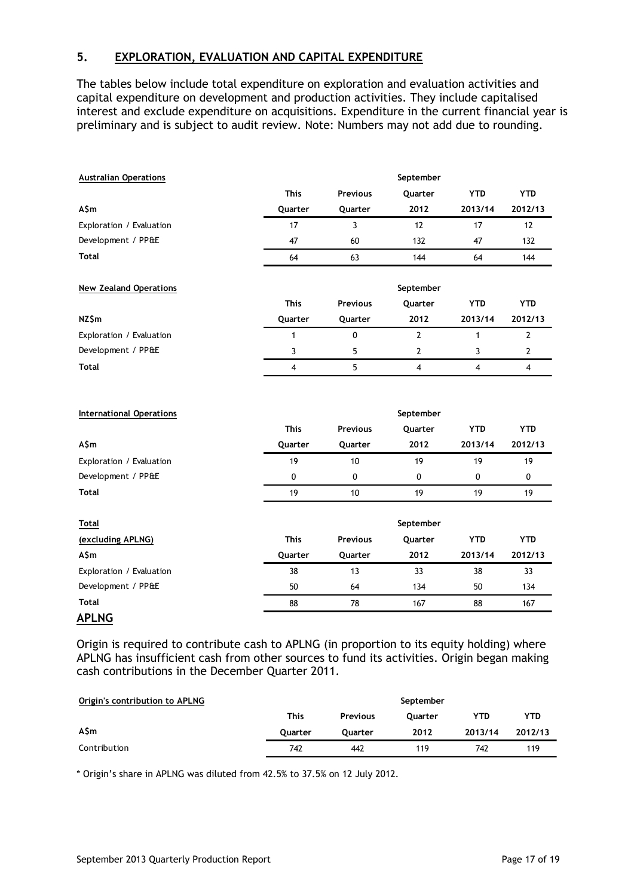## **5. EXPLORATION, EVALUATION AND CAPITAL EXPENDITURE**

The tables below include total expenditure on exploration and evaluation activities and capital expenditure on development and production activities. They include capitalised interest and exclude expenditure on acquisitions. Expenditure in the current financial year is preliminary and is subject to audit review. Note: Numbers may not add due to rounding.

| <b>Australian Operations</b>  |             |                 | September      |            |                |
|-------------------------------|-------------|-----------------|----------------|------------|----------------|
|                               | <b>This</b> | <b>Previous</b> | Quarter        | <b>YTD</b> | <b>YTD</b>     |
| A\$m                          | Quarter     | Quarter         | 2012           | 2013/14    | 2012/13        |
| Exploration / Evaluation      | 17          | 3               | 12             | 17         | 12             |
| Development / PP&E            | 47          | 60              | 132            | 47         | 132            |
| <b>Total</b>                  | 64          | 63              | 144            | 64         | 144            |
| <b>New Zealand Operations</b> |             |                 | September      |            |                |
|                               | <b>This</b> | <b>Previous</b> | Quarter        | <b>YTD</b> | <b>YTD</b>     |
| NZ\$m                         | Quarter     | Quarter         | 2012           | 2013/14    | 2012/13        |
| Exploration / Evaluation      | 1           | 0               | $\overline{2}$ | 1          | $\overline{2}$ |
| Development / PP&E            | 3           | 5               | 2              | 3          | $\overline{2}$ |
| Total                         | 4           | 5               | 4              | 4          | 4              |

| <b>International Operations</b> |             |                 | September      |            |            |
|---------------------------------|-------------|-----------------|----------------|------------|------------|
|                                 | <b>This</b> | <b>Previous</b> | <b>Ouarter</b> | <b>YTD</b> | <b>YTD</b> |
| A\$m                            | Quarter     | Quarter         | 2012           | 2013/14    | 2012/13    |
| Exploration / Evaluation        | 19          | 10              | 19             | 19         | 19         |
| Development / PP&E              | 0           | 0               | 0              | 0          | 0          |
| <b>Total</b>                    | 19          | 10              | 19             | 19         | 19         |
| <b>Total</b>                    |             |                 | September      |            |            |
| (excluding APLNG)               | <b>This</b> | <b>Previous</b> | Quarter        | <b>YTD</b> | <b>YTD</b> |
| A\$m                            | Quarter     | Quarter         | 2012           | 2013/14    | 2012/13    |
| Exploration / Evaluation        | 38          | 13              | 33             | 38         | 33         |

**Total** 88 78 167 88 167 **APLNG**

Origin is required to contribute cash to APLNG (in proportion to its equity holding) where APLNG has insufficient cash from other sources to fund its activities. Origin began making cash contributions in the December Quarter 2011.

Development / PP&E 50 50 64 134 50 134

| Origin's contribution to APLNG |                |                 | September      |            |         |
|--------------------------------|----------------|-----------------|----------------|------------|---------|
|                                | <b>This</b>    | <b>Previous</b> | <b>Ouarter</b> | <b>YTD</b> | YTD     |
| A\$m                           | <b>Ouarter</b> | <b>Ouarter</b>  | 2012           | 2013/14    | 2012/13 |
| Contribution                   | 742            | 442             | 119            | 742        | 119     |

\* Origin's share in APLNG was diluted from 42.5% to 37.5% on 12 July 2012.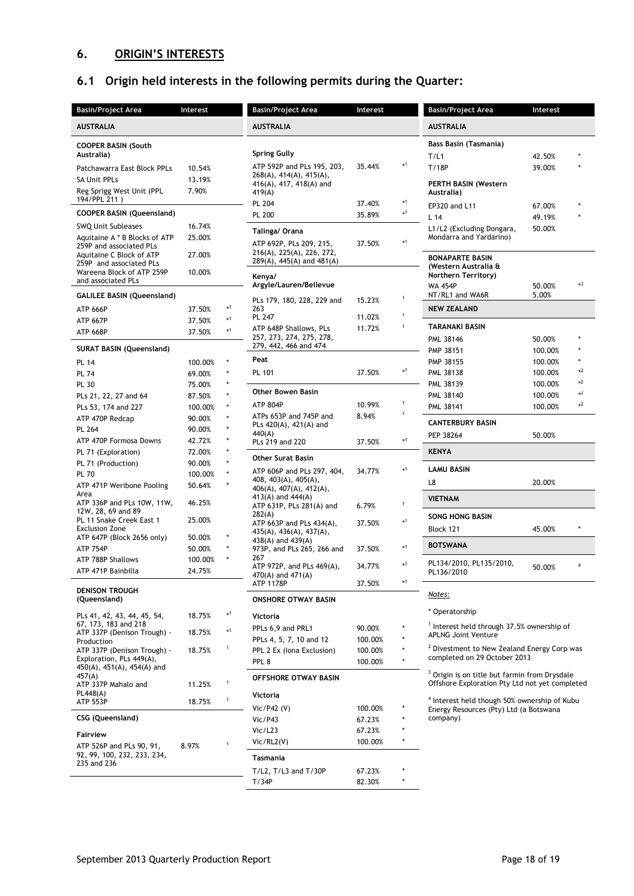# **6. ORIGIN'S INTERESTS**

# **6.1 Origin held interests in the following permits during the Quarter:**

| <b>Basin/Project Area</b>                               | Interest         |              | <b>Basin/Project Area</b>                             | Interest         |                   | <b>Basin/Project Area</b>                                                                                  | Interest         |         |
|---------------------------------------------------------|------------------|--------------|-------------------------------------------------------|------------------|-------------------|------------------------------------------------------------------------------------------------------------|------------------|---------|
| <b>AUSTRALIA</b>                                        |                  |              | <b>AUSTRALIA</b>                                      |                  |                   | <b>AUSTRALIA</b>                                                                                           |                  |         |
| <b>COOPER BASIN (South</b><br>Australia)                |                  |              | <b>Spring Gully</b>                                   |                  |                   | <b>Bass Basin (Tasmania)</b>                                                                               |                  |         |
|                                                         |                  |              | ATP 592P and PLs 195, 203,                            | 35.44%           | $*1$              | T/L1<br>T/18P                                                                                              | 42.50%<br>39.00% |         |
| Patchawarra East Block PPLs                             | 10.54%           |              | 268(A), 414(A), 415(A),                               |                  |                   |                                                                                                            |                  |         |
| <b>SA Unit PPLs</b><br>Reg Sprigg West Unit (PPL        | 13.19%<br>7.90%  |              | 416(A), 417, 418(A) and                               |                  |                   | <b>PERTH BASIN (Western</b>                                                                                |                  |         |
| 194/PPL 211)                                            |                  |              | 419(A)<br><b>PL 204</b>                               | 37.40%           | $\star 1$         | Australia)                                                                                                 |                  |         |
| <b>COOPER BASIN (Queensland)</b>                        |                  |              | <b>PL 200</b>                                         | 35.89%           | $\star 1$         | EP320 and L11                                                                                              | 67.00%           | $\star$ |
| SWQ Unit Subleases                                      | 16.74%           |              |                                                       |                  |                   | L <sub>14</sub><br>L1/L2 (Excluding Dongara,                                                               | 49.19%<br>50.00% |         |
| Aquitaine A * B Blocks of ATP                           | 25.00%           |              | Talinga/ Orana                                        |                  | $\star 1$         | Mondarra and Yardarino)                                                                                    |                  |         |
| 259P and associated PLs                                 | 27.00%           |              | ATP 692P, PLs 209, 215,<br>216(A), 225(A), 226, 272,  | 37.50%           |                   |                                                                                                            |                  |         |
| Aquitaine C Block of ATP<br>259P and associated PLs     |                  |              | $289(A)$ , 445(A) and 481(A)                          |                  |                   | <b>BONAPARTE BASIN</b><br>(Western Australia &                                                             |                  |         |
| Wareena Block of ATP 259P                               | 10.00%           |              | Kenya/                                                |                  |                   | Northern Territory)                                                                                        |                  |         |
| and associated PLs                                      |                  |              | Argyle/Lauren/Bellevue                                |                  |                   | <b>WA 454P</b>                                                                                             | 50.00%           | $*3$    |
| <b>GALILEE BASIN (Queensland)</b>                       |                  |              | PLs 179, 180, 228, 229 and                            | 15.23%           | $\mathbf 1$       | NT/RL1 and WA6R                                                                                            | 5.00%            |         |
| <b>ATP 666P</b>                                         | 37.50%           | $*1$         | 263                                                   |                  | $\mathbf{1}$      | <b>NEW ZEALAND</b>                                                                                         |                  |         |
| <b>ATP 667P</b>                                         | 37.50%           | $*1$         | PL 247                                                | 11.02%<br>11.72% | $\mathbf{1}$      | <b>TARANAKI BASIN</b>                                                                                      |                  |         |
| <b>ATP 668P</b>                                         | 37.50%           | $*1$         | ATP 648P Shallows, PLs<br>257, 273, 274, 275, 278,    |                  |                   | PML 38146                                                                                                  | 50.00%           |         |
| <b>SURAT BASIN (Queensland)</b>                         |                  |              | 279, 442, 466 and 474                                 |                  |                   | PMP 38151                                                                                                  | 100.00%          |         |
| <b>PL 14</b>                                            | 100.00%          | ×            | Peat                                                  |                  |                   | PMP 38155                                                                                                  | 100.00%          |         |
| <b>PL 74</b>                                            | 69.00%           |              | PL 101                                                | 37.50%           | $*1$              | PML 38138                                                                                                  | 100.00%          | $*2$    |
| <b>PL 30</b>                                            | 75.00%           |              |                                                       |                  |                   | PML 38139                                                                                                  | 100.00%          | $*2$    |
| PLs 21, 22, 27 and 64                                   | 87.50%           |              | Other Bowen Basin                                     |                  |                   | PML 38140                                                                                                  | 100.00%          | $*2$    |
| PLs 53, 174 and 227                                     | 100.00%          |              | <b>ATP 804P</b>                                       | 10.99%           | $\mathbf{1}$<br>1 | PML 38141                                                                                                  | 100.00%          | $*2$    |
| ATP 470P Redcap                                         | 90.00%           |              | ATPs 653P and 745P and<br>PLs $420(A)$ , $421(A)$ and | 8.94%            |                   | <b>CANTERBURY BASIN</b>                                                                                    |                  |         |
| PL 264                                                  | 90.00%           | $\star$      | 440(A)                                                |                  |                   | PEP 38264                                                                                                  | 50.00%           |         |
| ATP 470P Formosa Downs                                  | 42.72%           | $\star$      | PLs 219 and 220                                       | 37.50%           | $*1$              |                                                                                                            |                  |         |
| PL 71 (Exploration)<br>PL 71 (Production)               | 72.00%<br>90.00% |              | <b>Other Surat Basin</b>                              |                  |                   | <b>KENYA</b>                                                                                               |                  |         |
| <b>PL 70</b>                                            | 100.00%          |              | ATP 606P and PLs 297, 404,                            | 34.77%           | $*1$              | <b>LAMU BASIN</b>                                                                                          |                  |         |
| ATP 471P Weribone Pooling                               | 50.64%           |              | 408, 403(A), 405(A),                                  |                  |                   | L8                                                                                                         | 20.00%           |         |
| Area                                                    |                  |              | 406(A), 407(A), 412(A),<br>413(A) and 444(A)          |                  |                   | <b>VIETNAM</b>                                                                                             |                  |         |
| ATP 336P and PLs 10W, 11W,<br>12W, 28, 69 and 89        | 46.25%           |              | ATP 631P, PLs 281(A) and                              | 6.79%            | $\mathbf{1}$      |                                                                                                            |                  |         |
| PL 11 Snake Creek East 1                                | 25.00%           |              | 282(A)<br>ATP 663P and PLs $434(A)$ ,                 | 37.50%           | $*1$              | <b>SONG HONG BASIN</b>                                                                                     |                  |         |
| <b>Exclusion Zone</b><br>ATP 647P (Block 2656 only)     | 50.00%           |              | 435(A), 436(A), 437(A),                               |                  |                   | Block 121                                                                                                  | 45.00%           |         |
| <b>ATP 754P</b>                                         | 50.00%           |              | 438(A) and $439(A)$<br>973P, and PLs 265, 266 and     | 37.50%           | $*1$              | BOTSWANA                                                                                                   |                  |         |
| ATP 788P Shallows                                       | 100.00%          |              | 267                                                   |                  |                   |                                                                                                            |                  |         |
| ATP 471P Bainbilla                                      | 24.75%           |              | ATP 972P, and PLs 469(A),<br>470(A) and 471(A)        | 34.77%           | $*1$              | PL134/2010, PL135/2010,<br>PL136/2010                                                                      | 50.00%           | 4       |
|                                                         |                  |              | <b>ATP 1178P</b>                                      | 37.50%           | $*1$              |                                                                                                            |                  |         |
| <b>DENISON TROUGH</b><br>(Queensland)                   |                  |              | <b>ONSHORE OTWAY BASIN</b>                            |                  |                   | Notes:                                                                                                     |                  |         |
|                                                         |                  |              |                                                       |                  |                   | * Operatorship                                                                                             |                  |         |
| PLs 41, 42, 43, 44, 45, 54,<br>67, 173, 183 and 218     | 18.75%           | $*1$         | Victoria                                              |                  |                   |                                                                                                            |                  |         |
| ATP 337P (Denison Trough) -                             | 18.75%           | $*1$         | PPLs 6,9 and PRL1                                     | 90.00%           |                   | <sup>1</sup> Interest held through 37.5% ownership of<br><b>APLNG Joint Venture</b>                        |                  |         |
| Production                                              |                  | 1            | PPLs 4, 5, 7, 10 and 12                               | 100.00%          |                   | <sup>2</sup> Divestment to New Zealand Energy Corp was                                                     |                  |         |
| ATP 337P (Denison Trough) -<br>Exploration, PLs 449(A), | 18.75%           |              | PPL 2 Ex (Iona Exclusion)<br>PPL <sub>8</sub>         | 100.00%          |                   | completed on 29 October 2013                                                                               |                  |         |
| 450(A), 451(A), 454(A) and                              |                  |              |                                                       | 100.00%          |                   |                                                                                                            |                  |         |
| 457(A)<br>ATP 337P Mahalo and                           | 11.25%           | $\mathbf{1}$ | OFFSHORE OTWAY BASIN                                  |                  |                   | <sup>3</sup> Origin is on title but farmin from Drysdale<br>Offshore Exploration Pty Ltd not yet completed |                  |         |
| PL448(A)                                                |                  |              | Victoria                                              |                  |                   |                                                                                                            |                  |         |
| <b>ATP 553P</b>                                         | 18.75%           | $\,1\,$      | Vic/P42 $(V)$                                         | 100.00%          |                   | <sup>4</sup> Interest held though 50% ownership of Kubu<br>Energy Resources (Pty) Ltd (a Botswana          |                  |         |
| CSG (Queensland)                                        |                  |              | Vic/P43                                               | 67.23%           |                   | company)                                                                                                   |                  |         |
| <b>Fairview</b>                                         |                  |              | Vic/L23                                               | 67.23%           |                   |                                                                                                            |                  |         |
| ATP 526P and PLs 90, 91,                                | 8.97%            | 1            | Vic/RL2(V)                                            | 100.00%          | ÷                 |                                                                                                            |                  |         |
| 92, 99, 100, 232, 233, 234,                             |                  |              | Tasmania                                              |                  |                   |                                                                                                            |                  |         |
| 235 and 236                                             |                  |              | $T/L2$ , $T/L3$ and $T/30P$                           | 67.23%           |                   |                                                                                                            |                  |         |
|                                                         |                  |              | T/34P                                                 | 82.30%           |                   |                                                                                                            |                  |         |
|                                                         |                  |              |                                                       |                  |                   |                                                                                                            |                  |         |